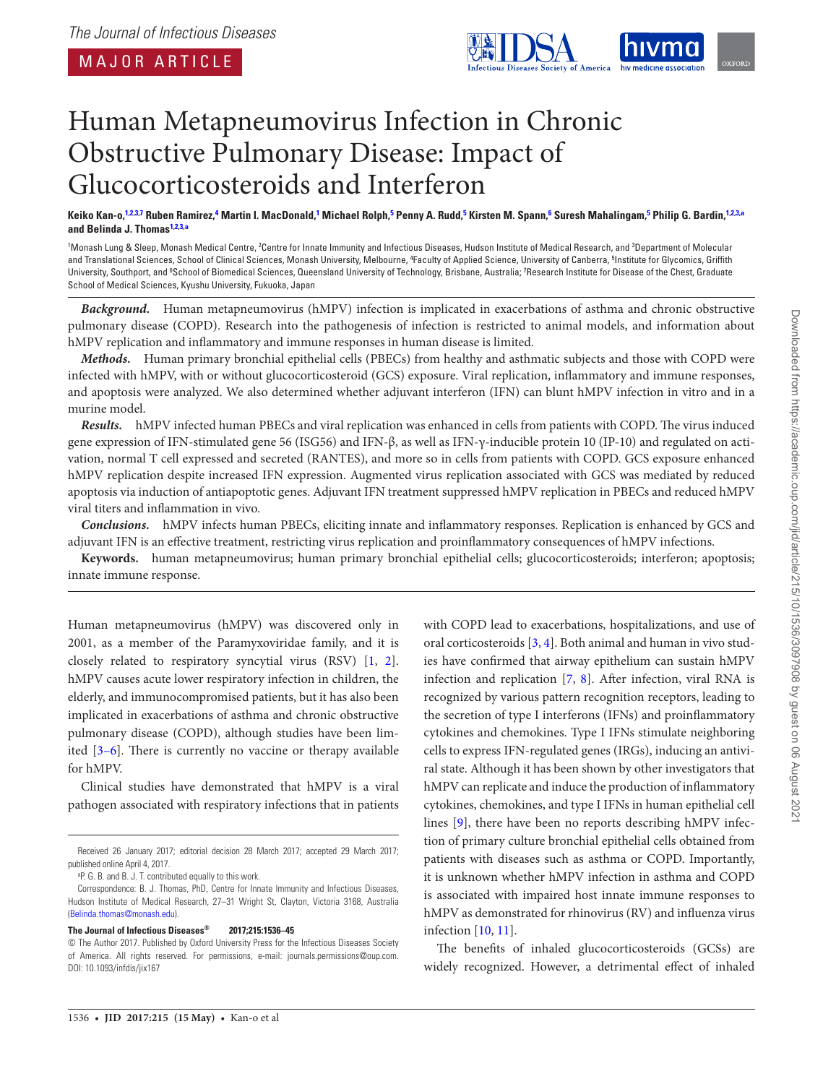

# Human Metapneumovirus Infection in Chronic Obstructive Pulmonary Disease: Impact of Glucocorticosteroids and Interferon

Keiko Kan-o,<sup>1,2,3,7</sup> Ruben Ramirez,<sup>4</sup> Martin I. MacDonald,<sup>1</sup> Michael Rolph,<sup>5</sup> Penny A. Rudd,<sup>5</sup> Kirsten M. Spann,<sup>6</sup> Suresh Mahalingam,<sup>5</sup> Philip G. Bardin,<sup>1,2,3,a</sup> **and Belinda J. Thomas1,2,3,a**

<sup>1</sup>Monash Lung & Sleep, Monash Medical Centre, <sup>2</sup>Centre for Innate Immunity and Infectious Diseases, Hudson Institute of Medical Research, and <sup>3</sup>Department of Molecular and Translational Sciences, School of Clinical Sciences, Monash University, Melbourne, <sup>4</sup>Faculty of Applied Science, University of Canberra, <sup>5</sup>Institute for Glycomics, Griffith University, Southport, and <sup>6</sup>School of Biomedical Sciences, Queensland University of Technology, Brisbane, Australia; 7Research Institute for Disease of the Chest, Graduate School of Medical Sciences, Kyushu University, Fukuoka, Japan

**Background.** Human metapneumovirus (hMPV) infection is implicated in exacerbations of asthma and chronic obstructive pulmonary disease (COPD). Research into the pathogenesis of infection is restricted to animal models, and information about hMPV replication and inflammatory and immune responses in human disease is limited.

**Methods.** Human primary bronchial epithelial cells (PBECs) from healthy and asthmatic subjects and those with COPD were infected with hMPV, with or without glucocorticosteroid (GCS) exposure. Viral replication, inflammatory and immune responses, and apoptosis were analyzed. We also determined whether adjuvant interferon (IFN) can blunt hMPV infection in vitro and in a murine model.

**Results.** hMPV infected human PBECs and viral replication was enhanced in cells from patients with COPD. The virus induced gene expression of IFN-stimulated gene 56 (ISG56) and IFN-β, as well as IFN-γ-inducible protein 10 (IP-10) and regulated on activation, normal T cell expressed and secreted (RANTES), and more so in cells from patients with COPD. GCS exposure enhanced hMPV replication despite increased IFN expression. Augmented virus replication associated with GCS was mediated by reduced apoptosis via induction of antiapoptotic genes. Adjuvant IFN treatment suppressed hMPV replication in PBECs and reduced hMPV viral titers and inflammation in vivo.

**Conclusions.** hMPV infects human PBECs, eliciting innate and inflammatory responses. Replication is enhanced by GCS and adjuvant IFN is an effective treatment, restricting virus replication and proinflammatory consequences of hMPV infections.

**Keywords.** human metapneumovirus; human primary bronchial epithelial cells; glucocorticosteroids; interferon; apoptosis; innate immune response.

Human metapneumovirus (hMPV) was discovered only in 2001, as a member of the Paramyxoviridae family, and it is closely related to respiratory syncytial virus (RSV) [1, 2]. hMPV causes acute lower respiratory infection in children, the elderly, and immunocompromised patients, but it has also been implicated in exacerbations of asthma and chronic obstructive pulmonary disease (COPD), although studies have been limited [3–6]. There is currently no vaccine or therapy available for hMPV.

Clinical studies have demonstrated that hMPV is a viral pathogen associated with respiratory infections that in patients

#### **The Journal of Infectious Diseases® 2017;215:1536–45**

with COPD lead to exacerbations, hospitalizations, and use of oral corticosteroids [3, 4]. Both animal and human in vivo studies have confirmed that airway epithelium can sustain hMPV infection and replication [7, 8]. After infection, viral RNA is recognized by various pattern recognition receptors, leading to the secretion of type I interferons (IFNs) and proinflammatory cytokines and chemokines. Type I IFNs stimulate neighboring cells to express IFN-regulated genes (IRGs), inducing an antiviral state. Although it has been shown by other investigators that hMPV can replicate and induce the production of inflammatory cytokines, chemokines, and type I IFNs in human epithelial cell lines [9], there have been no reports describing hMPV infection of primary culture bronchial epithelial cells obtained from patients with diseases such as asthma or COPD. Importantly, it is unknown whether hMPV infection in asthma and COPD is associated with impaired host innate immune responses to hMPV as demonstrated for rhinovirus (RV) and influenza virus infection [10, 11].

The benefits of inhaled glucocorticosteroids (GCSs) are widely recognized. However, a detrimental effect of inhaled

Received 26 January 2017; editorial decision 28 March 2017; accepted 29 March 2017; published online April 4, 2017.

<sup>a</sup>P. G. B. and B. J. T. contributed equally to this work.

Correspondence: B. J. Thomas, PhD, Centre for Innate Immunity and Infectious Diseases, Hudson Institute of Medical Research, 27–31 Wright St, Clayton, Victoria 3168, Australia (Belinda.thomas@monash.edu).

<sup>©</sup> The Author 2017. Published by Oxford University Press for the Infectious Diseases Society of America. All rights reserved. For permissions, e-mail: journals.permissions@oup.com. DOI: 10.1093/infdis/jix167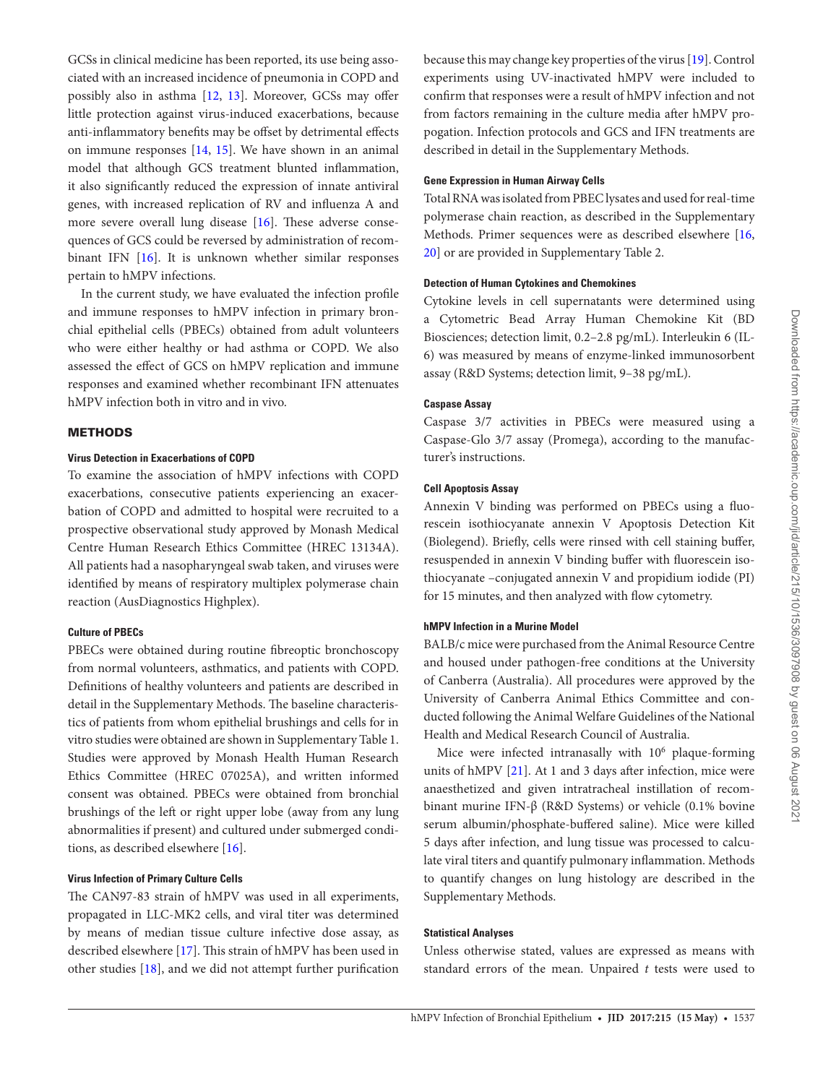GCSs in clinical medicine has been reported, its use being associated with an increased incidence of pneumonia in COPD and possibly also in asthma [12, 13]. Moreover, GCSs may offer little protection against virus-induced exacerbations, because anti-inflammatory benefits may be offset by detrimental effects on immune responses [14, 15]. We have shown in an animal model that although GCS treatment blunted inflammation, it also significantly reduced the expression of innate antiviral genes, with increased replication of RV and influenza A and more severe overall lung disease [16]. These adverse consequences of GCS could be reversed by administration of recombinant IFN [16]. It is unknown whether similar responses pertain to hMPV infections.

In the current study, we have evaluated the infection profile and immune responses to hMPV infection in primary bronchial epithelial cells (PBECs) obtained from adult volunteers who were either healthy or had asthma or COPD. We also assessed the effect of GCS on hMPV replication and immune responses and examined whether recombinant IFN attenuates hMPV infection both in vitro and in vivo.

#### METHODS

#### **Virus Detection in Exacerbations of COPD**

To examine the association of hMPV infections with COPD exacerbations, consecutive patients experiencing an exacerbation of COPD and admitted to hospital were recruited to a prospective observational study approved by Monash Medical Centre Human Research Ethics Committee (HREC 13134A). All patients had a nasopharyngeal swab taken, and viruses were identified by means of respiratory multiplex polymerase chain reaction (AusDiagnostics Highplex).

## **Culture of PBECs**

PBECs were obtained during routine fibreoptic bronchoscopy from normal volunteers, asthmatics, and patients with COPD. Definitions of healthy volunteers and patients are described in detail in the Supplementary Methods. The baseline characteristics of patients from whom epithelial brushings and cells for in vitro studies were obtained are shown in Supplementary Table 1. Studies were approved by Monash Health Human Research Ethics Committee (HREC 07025A), and written informed consent was obtained. PBECs were obtained from bronchial brushings of the left or right upper lobe (away from any lung abnormalities if present) and cultured under submerged conditions, as described elsewhere [16].

## **Virus Infection of Primary Culture Cells**

The CAN97-83 strain of hMPV was used in all experiments, propagated in LLC-MK2 cells, and viral titer was determined by means of median tissue culture infective dose assay, as described elsewhere [17]. This strain of hMPV has been used in other studies [18], and we did not attempt further purification because this may change key properties of the virus [19]. Control experiments using UV-inactivated hMPV were included to confirm that responses were a result of hMPV infection and not from factors remaining in the culture media after hMPV propogation. Infection protocols and GCS and IFN treatments are described in detail in the Supplementary Methods.

# **Gene Expression in Human Airway Cells**

Total RNA was isolated from PBEC lysates and used for real-time polymerase chain reaction, as described in the Supplementary Methods. Primer sequences were as described elsewhere [16, 20] or are provided in Supplementary Table 2.

## **Detection of Human Cytokines and Chemokines**

Cytokine levels in cell supernatants were determined using a Cytometric Bead Array Human Chemokine Kit (BD Biosciences; detection limit, 0.2–2.8 pg/mL). Interleukin 6 (IL-6) was measured by means of enzyme-linked immunosorbent assay (R&D Systems; detection limit, 9–38 pg/mL).

#### **Caspase Assay**

Caspase 3/7 activities in PBECs were measured using a Caspase-Glo 3/7 assay (Promega), according to the manufacturer's instructions.

## **Cell Apoptosis Assay**

Annexin V binding was performed on PBECs using a fluorescein isothiocyanate annexin V Apoptosis Detection Kit (Biolegend). Briefly, cells were rinsed with cell staining buffer, resuspended in annexin V binding buffer with fluorescein isothiocyanate –conjugated annexin V and propidium iodide (PI) for 15 minutes, and then analyzed with flow cytometry.

# **hMPV Infection in a Murine Model**

BALB/c mice were purchased from the Animal Resource Centre and housed under pathogen-free conditions at the University of Canberra (Australia). All procedures were approved by the University of Canberra Animal Ethics Committee and conducted following the Animal Welfare Guidelines of the National Health and Medical Research Council of Australia.

Mice were infected intranasally with 10<sup>6</sup> plaque-forming units of hMPV [21]. At 1 and 3 days after infection, mice were anaesthetized and given intratracheal instillation of recombinant murine IFN-β (R&D Systems) or vehicle (0.1% bovine serum albumin/phosphate-buffered saline). Mice were killed 5 days after infection, and lung tissue was processed to calculate viral titers and quantify pulmonary inflammation. Methods to quantify changes on lung histology are described in the Supplementary Methods.

#### **Statistical Analyses**

Unless otherwise stated, values are expressed as means with standard errors of the mean. Unpaired  $t$  tests were used to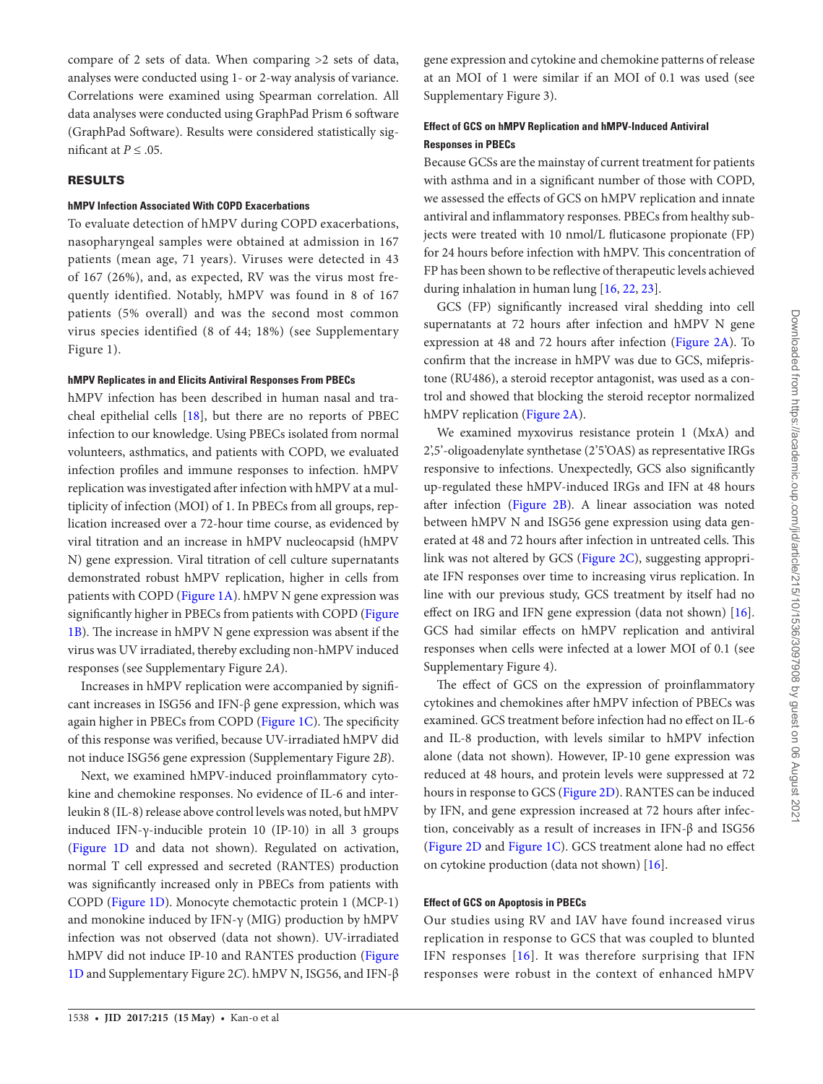compare of 2 sets of data. When comparing >2 sets of data, analyses were conducted using 1- or 2-way analysis of variance. Correlations were examined using Spearman correlation. All data analyses were conducted using GraphPad Prism 6 software (GraphPad Software). Results were considered statistically significant at  $P \leq .05$ .

#### RESULTS

#### **hMPV Infection Associated With COPD Exacerbations**

To evaluate detection of hMPV during COPD exacerbations, nasopharyngeal samples were obtained at admission in 167 patients (mean age, 71 years). Viruses were detected in 43 of 167 (26%), and, as expected, RV was the virus most frequently identified. Notably, hMPV was found in 8 of 167 patients (5% overall) and was the second most common virus species identified (8 of 44; 18%) (see Supplementary Figure 1).

#### **hMPV Replicates in and Elicits Antiviral Responses From PBECs**

hMPV infection has been described in human nasal and tracheal epithelial cells [18], but there are no reports of PBEC infection to our knowledge. Using PBECs isolated from normal volunteers, asthmatics, and patients with COPD, we evaluated infection profiles and immune responses to infection. hMPV replication was investigated after infection with hMPV at a multiplicity of infection (MOI) of 1. In PBECs from all groups, replication increased over a 72-hour time course, as evidenced by viral titration and an increase in hMPV nucleocapsid (hMPV N) gene expression. Viral titration of cell culture supernatants demonstrated robust hMPV replication, higher in cells from patients with COPD (Figure 1A). hMPV N gene expression was significantly higher in PBECs from patients with COPD (Figure 1B). The increase in hMPV N gene expression was absent if the virus was UV irradiated, thereby excluding non-hMPV induced responses (see Supplementary Figure 2A).

Increases in hMPV replication were accompanied by significant increases in ISG56 and IFN-β gene expression, which was again higher in PBECs from COPD (Figure 1C). The specificity of this response was verified, because UV-irradiated hMPV did not induce ISG56 gene expression (Supplementary Figure 2B).

Next, we examined hMPV-induced proinflammatory cytokine and chemokine responses. No evidence of IL-6 and interleukin 8 (IL-8) release above control levels was noted, but hMPV induced IFN-γ-inducible protein 10 (IP-10) in all 3 groups (Figure 1D and data not shown). Regulated on activation, normal T cell expressed and secreted (RANTES) production was significantly increased only in PBECs from patients with COPD (Figure 1D). Monocyte chemotactic protein 1 (MCP-1) and monokine induced by IFN-γ (MIG) production by hMPV infection was not observed (data not shown). UV-irradiated hMPV did not induce IP-10 and RANTES production (Figure 1D and Supplementary Figure 2C). hMPV N, ISG56, and IFN-β

gene expression and cytokine and chemokine patterns of release at an MOI of 1 were similar if an MOI of 0.1 was used (see Supplementary Figure 3).

# **Effect of GCS on hMPV Replication and hMPV-Induced Antiviral Responses in PBECs**

Because GCSs are the mainstay of current treatment for patients with asthma and in a significant number of those with COPD, we assessed the effects of GCS on hMPV replication and innate antiviral and inflammatory responses. PBECs from healthy subjects were treated with 10 nmol/L fluticasone propionate (FP) for 24 hours before infection with hMPV. This concentration of FP has been shown to be reflective of therapeutic levels achieved during inhalation in human lung [16, 22, 23].

GCS (FP) significantly increased viral shedding into cell supernatants at 72 hours after infection and hMPV N gene expression at 48 and 72 hours after infection (Figure 2A). To confirm that the increase in hMPV was due to GCS, mifepristone (RU486), a steroid receptor antagonist, was used as a control and showed that blocking the steroid receptor normalized hMPV replication (Figure 2A).

We examined myxovirus resistance protein 1 (MxA) and 2',5'-oligoadenylate synthetase (2'5'OAS) as representative IRGs responsive to infections. Unexpectedly, GCS also significantly up-regulated these hMPV-induced IRGs and IFN at 48 hours after infection (Figure 2B). A linear association was noted between hMPV N and ISG56 gene expression using data generated at 48 and 72 hours after infection in untreated cells. This link was not altered by GCS (Figure 2C), suggesting appropriate IFN responses over time to increasing virus replication. In line with our previous study, GCS treatment by itself had no effect on IRG and IFN gene expression (data not shown) [16]. GCS had similar effects on hMPV replication and antiviral responses when cells were infected at a lower MOI of 0.1 (see Supplementary Figure 4).

The effect of GCS on the expression of proinflammatory cytokines and chemokines after hMPV infection of PBECs was examined. GCS treatment before infection had no effect on IL-6 and IL-8 production, with levels similar to hMPV infection alone (data not shown). However, IP-10 gene expression was reduced at 48 hours, and protein levels were suppressed at 72 hours in response to GCS (Figure 2D). RANTES can be induced by IFN, and gene expression increased at 72 hours after infection, conceivably as a result of increases in IFN-β and ISG56 (Figure 2D and Figure 1C). GCS treatment alone had no effect on cytokine production (data not shown) [16].

## **Effect of GCS on Apoptosis in PBECs**

Our studies using RV and IAV have found increased virus replication in response to GCS that was coupled to blunted IFN responses [16]. It was therefore surprising that IFN responses were robust in the context of enhanced hMPV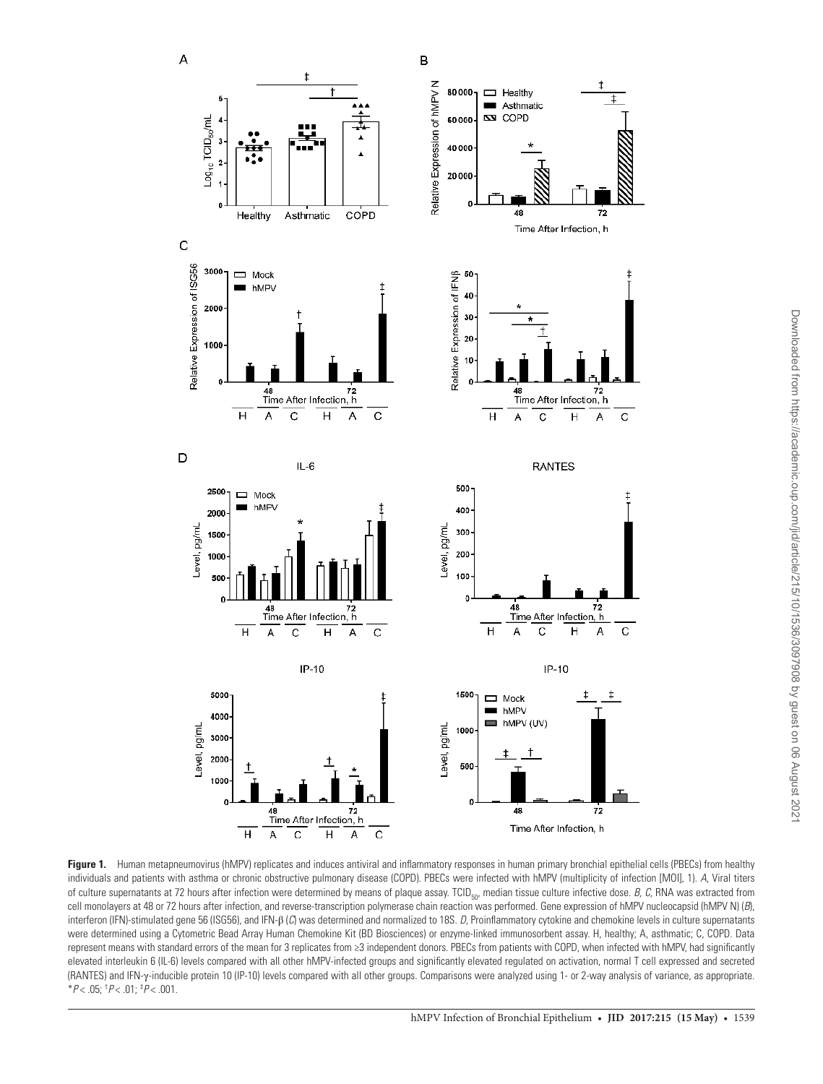

**Figure 1.** Human metapneumovirus (hMPV) replicates and induces antiviral and inflammatory responses in human primary bronchial epithelial cells (PBECs) from healthy individuals and patients with asthma or chronic obstructive pulmonary disease (COPD). PBECs were infected with hMPV (multiplicity of infection [MOI], 1). A, Viral titers of culture supernatants at 72 hours after infection were determined by means of plaque assay. TCID<sub>50</sub>, median tissue culture infective dose. B, C, RNA was extracted from cell monolayers at 48 or 72 hours after infection, and reverse-transcription polymerase chain reaction was performed. Gene expression of hMPV nucleocapsid (hMPV N)  $(B)$ , interferon (IFN)-stimulated gene 56 (ISG56), and IFN- $\beta$  (C) was determined and normalized to 18S. D, Proinflammatory cytokine and chemokine levels in culture supernatants were determined using a Cytometric Bead Array Human Chemokine Kit (BD Biosciences) or enzyme-linked immunosorbent assay. H, healthy; A, asthmatic; C, COPD. Data represent means with standard errors of the mean for 3 replicates from ≥3 independent donors. PBECs from patients with COPD, when infected with hMPV, had significantly elevated interleukin 6 (IL-6) levels compared with all other hMPV-infected groups and significantly elevated regulated on activation, normal T cell expressed and secreted (RANTES) and IFN-γ-inducible protein 10 (IP-10) levels compared with all other groups. Comparisons were analyzed using 1- or 2-way analysis of variance, as appropriate.  $*P$  < .05;  $^{\dagger}P$  < .01;  $^{\ddagger}P$  < .001.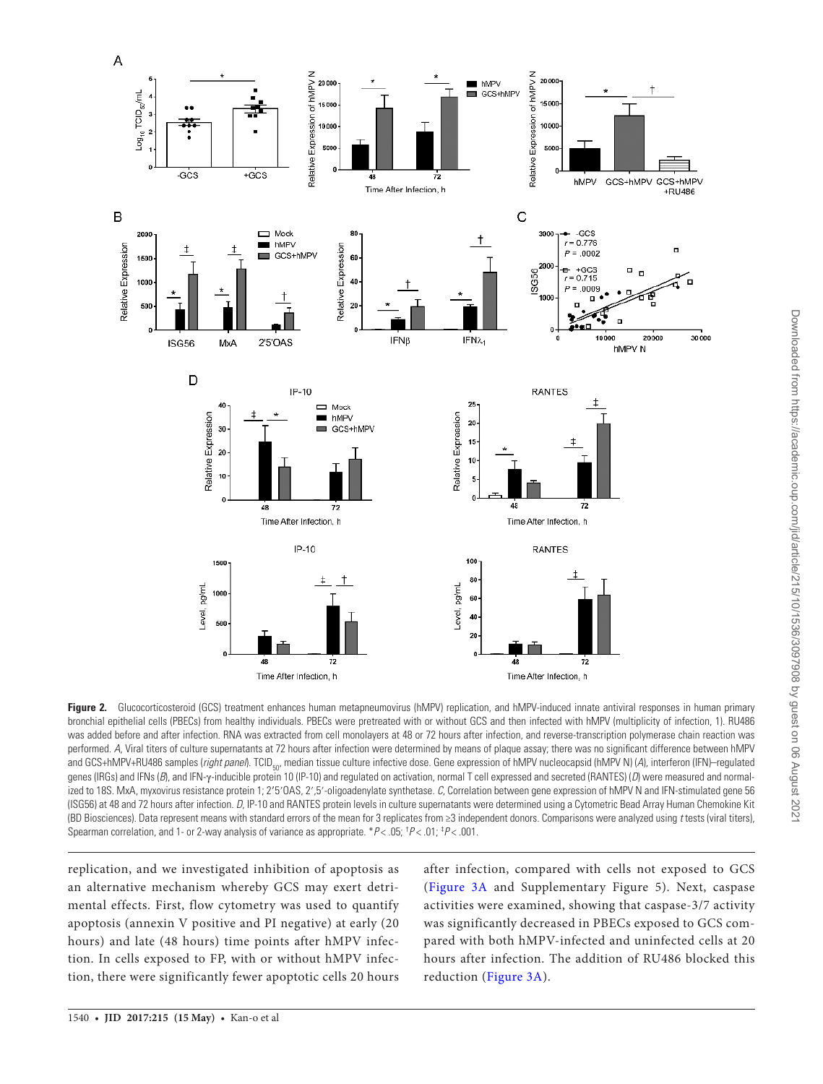

Figure 2. Glucocorticosteroid (GCS) treatment enhances human metapneumovirus (hMPV) replication, and hMPV-induced innate antiviral responses in human primary bronchial epithelial cells (PBECs) from healthy individuals. PBECs were pretreated with or without GCS and then infected with hMPV (multiplicity of infection, 1). RU486 was added before and after infection. RNA was extracted from cell monolayers at 48 or 72 hours after infection, and reverse-transcription polymerase chain reaction was performed. A, Viral titers of culture supernatants at 72 hours after infection were determined by means of plaque assay; there was no significant difference between hMPV and GCS+hMPV+RU486 samples (right panel). TCID<sub>50</sub>, median tissue culture infective dose. Gene expression of hMPV nucleocapsid (hMPV N) (A), interferon (IFN)–regulated genes (IRGs) and IFNs (B), and IFN-γ-inducible protein 10 (IP-10) and regulated on activation, normal T cell expressed and secreted (RANTES) (D) were measured and normalized to 18S. MxA, myxovirus resistance protein 1; 2**′**5′OAS, 2′,5′-oligoadenylate synthetase. C, Correlation between gene expression of hMPV N and IFN-stimulated gene 56 (ISG56) at 48 and 72 hours after infection. D, IP-10 and RANTES protein levels in culture supernatants were determined using a Cytometric Bead Array Human Chemokine Kit (BD Biosciences). Data represent means with standard errors of the mean for 3 replicates from ≥3 independent donors. Comparisons were analyzed using t tests (viral titers), Spearman correlation, and 1- or 2-way analysis of variance as appropriate.  $*P$ < .05;  $^{\dagger}P$ < .01;  $^{\dagger}P$ < .001.

replication, and we investigated inhibition of apoptosis as an alternative mechanism whereby GCS may exert detrimental effects. First, flow cytometry was used to quantify apoptosis (annexin V positive and PI negative) at early (20 hours) and late (48 hours) time points after hMPV infection. In cells exposed to FP, with or without hMPV infection, there were significantly fewer apoptotic cells 20 hours

after infection, compared with cells not exposed to GCS (Figure 3A and Supplementary Figure 5). Next, caspase activities were examined, showing that caspase-3/7 activity was significantly decreased in PBECs exposed to GCS compared with both hMPV-infected and uninfected cells at 20 hours after infection. The addition of RU486 blocked this reduction (Figure 3A).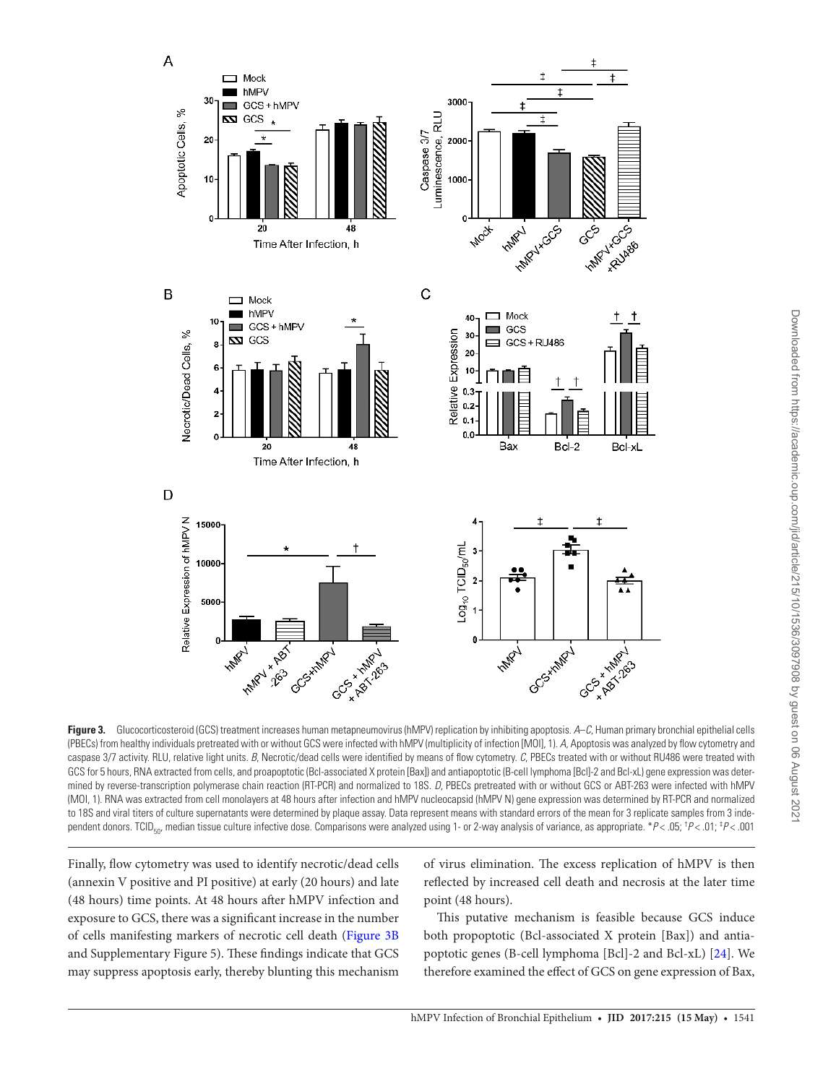

Figure 3. Glucocorticosteroid (GCS) treatment increases human metapneumovirus (hMPV) replication by inhibiting apoptosis. A–C, Human primary bronchial epithelial cells (PBECs) from healthy individuals pretreated with or without GCS were infected with hMPV (multiplicity of infection [MOI], 1). A, Apoptosis was analyzed by flow cytometry and caspase 3/7 activity. RLU, relative light units. B, Necrotic/dead cells were identified by means of flow cytometry. C, PBECs treated with or without RU486 were treated with GCS for 5 hours, RNA extracted from cells, and proapoptotic (Bcl-associated X protein [Bax]) and antiapoptotic (B-cell lymphoma [Bcl]-2 and Bcl-xL) gene expression was determined by reverse-transcription polymerase chain reaction (RT-PCR) and normalized to 18S. D, PBECs pretreated with or without GCS or ABT-263 were infected with hMPV (MOI, 1). RNA was extracted from cell monolayers at 48 hours after infection and hMPV nucleocapsid (hMPV N) gene expression was determined by RT-PCR and normalized to 18S and viral titers of culture supernatants were determined by plaque assay. Data represent means with standard errors of the mean for 3 replicate samples from 3 independent donors. TCID<sub>50</sub>, median tissue culture infective dose. Comparisons were analyzed using 1- or 2-way analysis of variance, as appropriate. \*P< .05; <sup>†</sup>P< .01; <sup>‡P</sup>< .01

Finally, flow cytometry was used to identify necrotic/dead cells (annexin V positive and PI positive) at early (20 hours) and late (48 hours) time points. At 48 hours after hMPV infection and exposure to GCS, there was a significant increase in the number of cells manifesting markers of necrotic cell death (Figure 3B and Supplementary Figure 5). These findings indicate that GCS may suppress apoptosis early, thereby blunting this mechanism

of virus elimination. The excess replication of hMPV is then reflected by increased cell death and necrosis at the later time point (48 hours).

This putative mechanism is feasible because GCS induce both propoptotic (Bcl-associated X protein [Bax]) and antiapoptotic genes (B-cell lymphoma [Bcl]-2 and Bcl-xL) [24]. We therefore examined the effect of GCS on gene expression of Bax,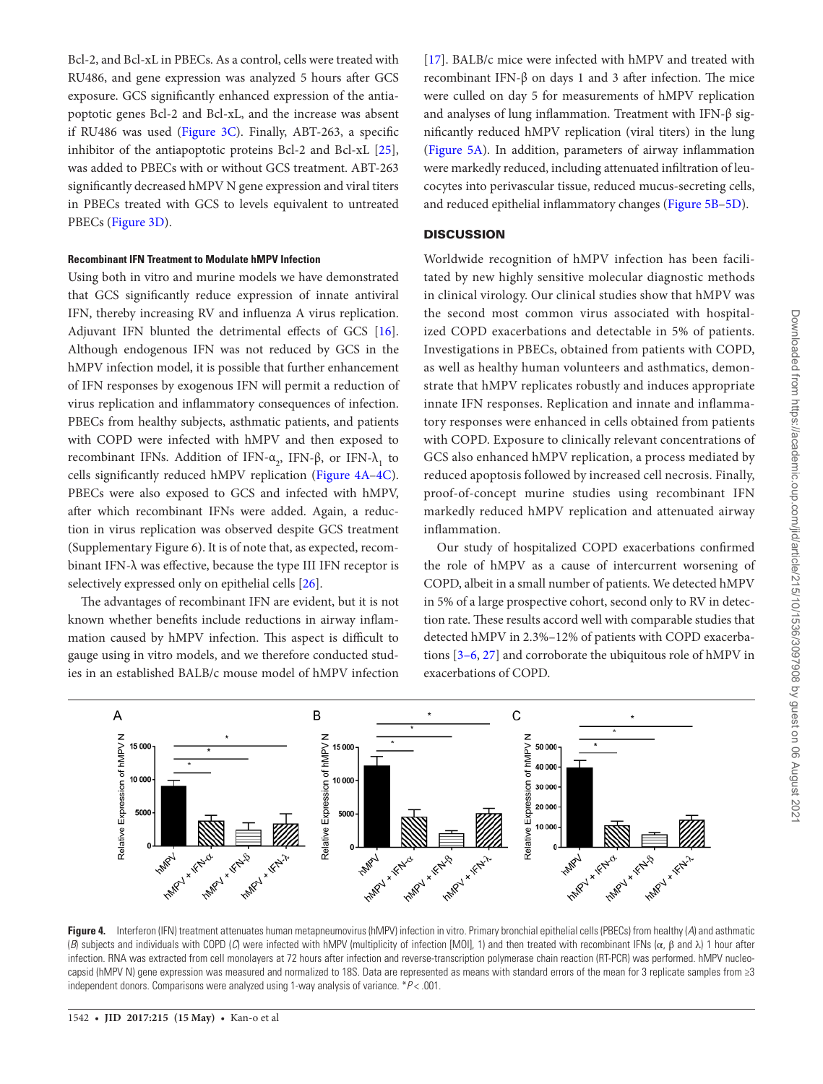Bcl-2, and Bcl-xL in PBECs. As a control, cells were treated with RU486, and gene expression was analyzed 5 hours after GCS exposure. GCS significantly enhanced expression of the antiapoptotic genes Bcl-2 and Bcl-xL, and the increase was absent if RU486 was used (Figure 3C). Finally, ABT-263, a specific inhibitor of the antiapoptotic proteins Bcl-2 and Bcl-xL [25], was added to PBECs with or without GCS treatment. ABT-263 significantly decreased hMPV N gene expression and viral titers in PBECs treated with GCS to levels equivalent to untreated PBECs (Figure 3D).

#### **Recombinant IFN Treatment to Modulate hMPV Infection**

Using both in vitro and murine models we have demonstrated that GCS significantly reduce expression of innate antiviral IFN, thereby increasing RV and influenza A virus replication. Adjuvant IFN blunted the detrimental effects of GCS [16]. Although endogenous IFN was not reduced by GCS in the hMPV infection model, it is possible that further enhancement of IFN responses by exogenous IFN will permit a reduction of virus replication and inflammatory consequences of infection. PBECs from healthy subjects, asthmatic patients, and patients with COPD were infected with hMPV and then exposed to recombinant IFNs. Addition of IFN- $\alpha_2$ , IFN-β, or IFN- $\lambda_1$  to cells significantly reduced hMPV replication (Figure 4A–4C). PBECs were also exposed to GCS and infected with hMPV, after which recombinant IFNs were added. Again, a reduction in virus replication was observed despite GCS treatment (Supplementary Figure 6). It is of note that, as expected, recombinant IFN-λ was effective, because the type III IFN receptor is selectively expressed only on epithelial cells [26].

The advantages of recombinant IFN are evident, but it is not known whether benefits include reductions in airway inflammation caused by hMPV infection. This aspect is difficult to gauge using in vitro models, and we therefore conducted studies in an established BALB/c mouse model of hMPV infection

[17]. BALB/c mice were infected with hMPV and treated with recombinant IFN-β on days 1 and 3 after infection. The mice were culled on day 5 for measurements of hMPV replication and analyses of lung inflammation. Treatment with IFN-β significantly reduced hMPV replication (viral titers) in the lung (Figure 5A). In addition, parameters of airway inflammation were markedly reduced, including attenuated infiltration of leucocytes into perivascular tissue, reduced mucus-secreting cells, and reduced epithelial inflammatory changes (Figure 5B–5D).

#### **DISCUSSION**

Worldwide recognition of hMPV infection has been facilitated by new highly sensitive molecular diagnostic methods in clinical virology. Our clinical studies show that hMPV was the second most common virus associated with hospitalized COPD exacerbations and detectable in 5% of patients. Investigations in PBECs, obtained from patients with COPD, as well as healthy human volunteers and asthmatics, demonstrate that hMPV replicates robustly and induces appropriate innate IFN responses. Replication and innate and inflammatory responses were enhanced in cells obtained from patients with COPD. Exposure to clinically relevant concentrations of GCS also enhanced hMPV replication, a process mediated by reduced apoptosis followed by increased cell necrosis. Finally, proof-of-concept murine studies using recombinant IFN markedly reduced hMPV replication and attenuated airway inflammation.

Our study of hospitalized COPD exacerbations confirmed the role of hMPV as a cause of intercurrent worsening of COPD, albeit in a small number of patients. We detected hMPV in 5% of a large prospective cohort, second only to RV in detection rate. These results accord well with comparable studies that detected hMPV in 2.3%–12% of patients with COPD exacerbations [3–6, 27] and corroborate the ubiquitous role of hMPV in exacerbations of COPD.



Figure 4. Interferon (IFN) treatment attenuates human metapneumovirus (hMPV) infection in vitro. Primary bronchial epithelial cells (PBECs) from healthy (A) and asthmatic (B) subjects and individuals with COPD (C) were infected with hMPV (multiplicity of infection [MOI], 1) and then treated with recombinant IFNs (α, β and λ) 1 hour after infection. RNA was extracted from cell monolayers at 72 hours after infection and reverse-transcription polymerase chain reaction (RT-PCR) was performed. hMPV nucleocapsid (hMPV N) gene expression was measured and normalized to 18S. Data are represented as means with standard errors of the mean for 3 replicate samples from ≥3 independent donors. Comparisons were analyzed using 1-way analysis of variance.  $*P$  < .001.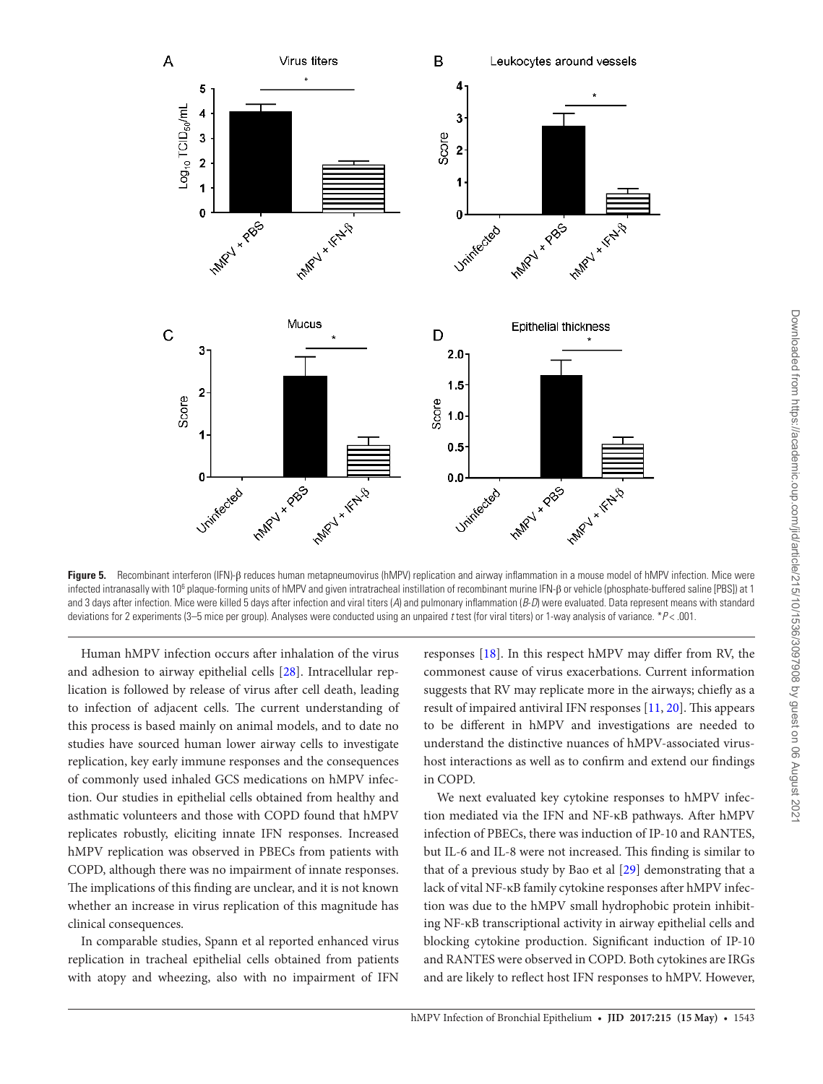

**Figure 5.** Recombinant interferon (IFN)-β reduces human metapneumovirus (hMPV) replication and airway inflammation in a mouse model of hMPV infection. Mice were infected intranasally with 10<sup>6</sup> plaque-forming units of hMPV and given intratracheal instillation of recombinant murine IFN-β or vehicle (phosphate-buffered saline [PBS]) at 1 and 3 days after infection. Mice were killed 5 days after infection and viral titers (A) and pulmonary inflammation (B-D) were evaluated. Data represent means with standard deviations for 2 experiments (3-5 mice per group). Analyses were conducted using an unpaired t test (for viral titers) or 1-way analysis of variance. \*P< .001.

Human hMPV infection occurs after inhalation of the virus and adhesion to airway epithelial cells [28]. Intracellular replication is followed by release of virus after cell death, leading to infection of adjacent cells. The current understanding of this process is based mainly on animal models, and to date no studies have sourced human lower airway cells to investigate replication, key early immune responses and the consequences of commonly used inhaled GCS medications on hMPV infection. Our studies in epithelial cells obtained from healthy and asthmatic volunteers and those with COPD found that hMPV replicates robustly, eliciting innate IFN responses. Increased hMPV replication was observed in PBECs from patients with COPD, although there was no impairment of innate responses. The implications of this finding are unclear, and it is not known whether an increase in virus replication of this magnitude has clinical consequences.

In comparable studies, Spann et al reported enhanced virus replication in tracheal epithelial cells obtained from patients with atopy and wheezing, also with no impairment of IFN

responses [18]. In this respect hMPV may differ from RV, the commonest cause of virus exacerbations. Current information suggests that RV may replicate more in the airways; chiefly as a result of impaired antiviral IFN responses [11, 20]. This appears to be different in hMPV and investigations are needed to understand the distinctive nuances of hMPV-associated virushost interactions as well as to confirm and extend our findings in COPD.

We next evaluated key cytokine responses to hMPV infection mediated via the IFN and NF-κB pathways. After hMPV infection of PBECs, there was induction of IP-10 and RANTES, but IL-6 and IL-8 were not increased. This finding is similar to that of a previous study by Bao et al [29] demonstrating that a lack of vital NF-κB family cytokine responses after hMPV infection was due to the hMPV small hydrophobic protein inhibiting NF-κB transcriptional activity in airway epithelial cells and blocking cytokine production. Significant induction of IP-10 and RANTES were observed in COPD. Both cytokines are IRGs and are likely to reflect host IFN responses to hMPV. However,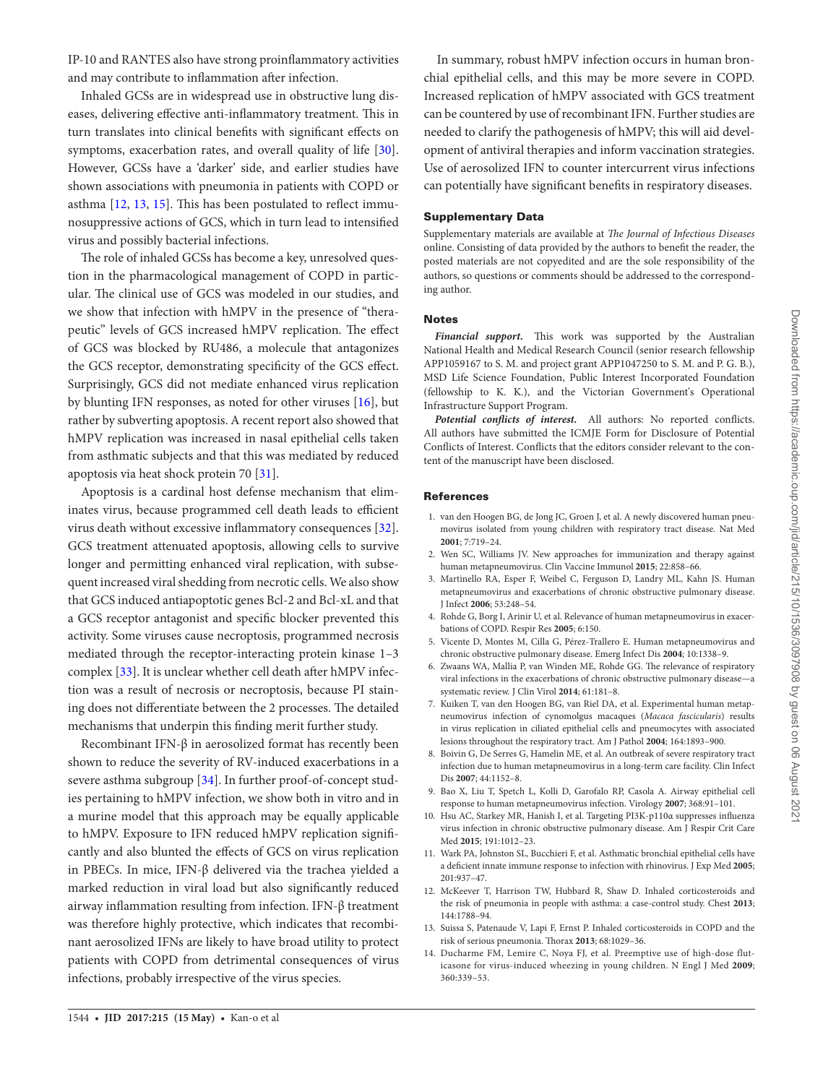Inhaled GCSs are in widespread use in obstructive lung diseases, delivering effective anti-inflammatory treatment. This in turn translates into clinical benefits with significant effects on symptoms, exacerbation rates, and overall quality of life [30]. However, GCSs have a 'darker' side, and earlier studies have shown associations with pneumonia in patients with COPD or asthma [12, 13, 15]. This has been postulated to reflect immunosuppressive actions of GCS, which in turn lead to intensified virus and possibly bacterial infections.

The role of inhaled GCSs has become a key, unresolved question in the pharmacological management of COPD in particular. The clinical use of GCS was modeled in our studies, and we show that infection with hMPV in the presence of "therapeutic" levels of GCS increased hMPV replication. The effect of GCS was blocked by RU486, a molecule that antagonizes the GCS receptor, demonstrating specificity of the GCS effect. Surprisingly, GCS did not mediate enhanced virus replication by blunting IFN responses, as noted for other viruses [16], but rather by subverting apoptosis. A recent report also showed that hMPV replication was increased in nasal epithelial cells taken from asthmatic subjects and that this was mediated by reduced apoptosis via heat shock protein 70 [31].

Apoptosis is a cardinal host defense mechanism that eliminates virus, because programmed cell death leads to efficient virus death without excessive inflammatory consequences [32]. GCS treatment attenuated apoptosis, allowing cells to survive longer and permitting enhanced viral replication, with subsequent increased viral shedding from necrotic cells. We also show that GCS induced antiapoptotic genes Bcl-2 and Bcl-xL and that a GCS receptor antagonist and specific blocker prevented this activity. Some viruses cause necroptosis, programmed necrosis mediated through the receptor-interacting protein kinase 1–3 complex [33]. It is unclear whether cell death after hMPV infection was a result of necrosis or necroptosis, because PI staining does not differentiate between the 2 processes. The detailed mechanisms that underpin this finding merit further study.

Recombinant IFN-β in aerosolized format has recently been shown to reduce the severity of RV-induced exacerbations in a severe asthma subgroup [34]. In further proof-of-concept studies pertaining to hMPV infection, we show both in vitro and in a murine model that this approach may be equally applicable to hMPV. Exposure to IFN reduced hMPV replication significantly and also blunted the effects of GCS on virus replication in PBECs. In mice, IFN-β delivered via the trachea yielded a marked reduction in viral load but also significantly reduced airway inflammation resulting from infection. IFN-β treatment was therefore highly protective, which indicates that recombinant aerosolized IFNs are likely to have broad utility to protect patients with COPD from detrimental consequences of virus infections, probably irrespective of the virus species.

In summary, robust hMPV infection occurs in human bronchial epithelial cells, and this may be more severe in COPD. Increased replication of hMPV associated with GCS treatment can be countered by use of recombinant IFN. Further studies are needed to clarify the pathogenesis of hMPV; this will aid development of antiviral therapies and inform vaccination strategies. Use of aerosolized IFN to counter intercurrent virus infections can potentially have significant benefits in respiratory diseases.

## Supplementary Data

Supplementary materials are available at The Journal of Infectious Diseases online. Consisting of data provided by the authors to benefit the reader, the posted materials are not copyedited and are the sole responsibility of the authors, so questions or comments should be addressed to the corresponding author.

## **Notes**

**Financial support.** This work was supported by the Australian National Health and Medical Research Council (senior research fellowship APP1059167 to S. M. and project grant APP1047250 to S. M. and P. G. B.), MSD Life Science Foundation, Public Interest Incorporated Foundation (fellowship to K. K.), and the Victorian Government's Operational Infrastructure Support Program.

**Potential conflicts of interest.** All authors: No reported conflicts. All authors have submitted the ICMJE Form for Disclosure of Potential Conflicts of Interest. Conflicts that the editors consider relevant to the content of the manuscript have been disclosed.

## **References**

- 1. van den Hoogen BG, de Jong JC, Groen J, et al. A newly discovered human pneumovirus isolated from young children with respiratory tract disease. Nat Med **2001**; 7:719–24.
- 2. Wen SC, Williams JV. New approaches for immunization and therapy against human metapneumovirus. Clin Vaccine Immunol **2015**; 22:858–66.
- 3. Martinello RA, Esper F, Weibel C, Ferguson D, Landry ML, Kahn JS. Human metapneumovirus and exacerbations of chronic obstructive pulmonary disease. J Infect **2006**; 53:248–54.
- 4. Rohde G, Borg I, Arinir U, et al. Relevance of human metapneumovirus in exacerbations of COPD. Respir Res **2005**; 6:150.
- 5. Vicente D, Montes M, Cilla G, Pérez-Trallero E. Human metapneumovirus and chronic obstructive pulmonary disease. Emerg Infect Dis **2004**; 10:1338–9.
- 6. Zwaans WA, Mallia P, van Winden ME, Rohde GG. The relevance of respiratory viral infections in the exacerbations of chronic obstructive pulmonary disease—a systematic review. J Clin Virol **2014**; 61:181–8.
- 7. Kuiken T, van den Hoogen BG, van Riel DA, et al. Experimental human metapneumovirus infection of cynomolgus macaques (Macaca fascicularis) results in virus replication in ciliated epithelial cells and pneumocytes with associated lesions throughout the respiratory tract. Am J Pathol **2004**; 164:1893–900.
- 8. Boivin G, De Serres G, Hamelin ME, et al. An outbreak of severe respiratory tract infection due to human metapneumovirus in a long-term care facility. Clin Infect Dis **2007**; 44:1152–8.
- 9. Bao X, Liu T, Spetch L, Kolli D, Garofalo RP, Casola A. Airway epithelial cell response to human metapneumovirus infection. Virology **2007**; 368:91–101.
- 10. Hsu AC, Starkey MR, Hanish I, et al. Targeting PI3K-p110α suppresses influenza virus infection in chronic obstructive pulmonary disease. Am J Respir Crit Care Med **2015**; 191:1012–23.
- 11. Wark PA, Johnston SL, Bucchieri F, et al. Asthmatic bronchial epithelial cells have a deficient innate immune response to infection with rhinovirus. J Exp Med **2005**; 201:937–47.
- 12. McKeever T, Harrison TW, Hubbard R, Shaw D. Inhaled corticosteroids and the risk of pneumonia in people with asthma: a case-control study. Chest **2013**; 144:1788–94.
- 13. Suissa S, Patenaude V, Lapi F, Ernst P. Inhaled corticosteroids in COPD and the risk of serious pneumonia. Thorax **2013**; 68:1029–36.
- 14. Ducharme FM, Lemire C, Noya FJ, et al. Preemptive use of high-dose fluticasone for virus-induced wheezing in young children. N Engl J Med **2009**; 360:339–53.